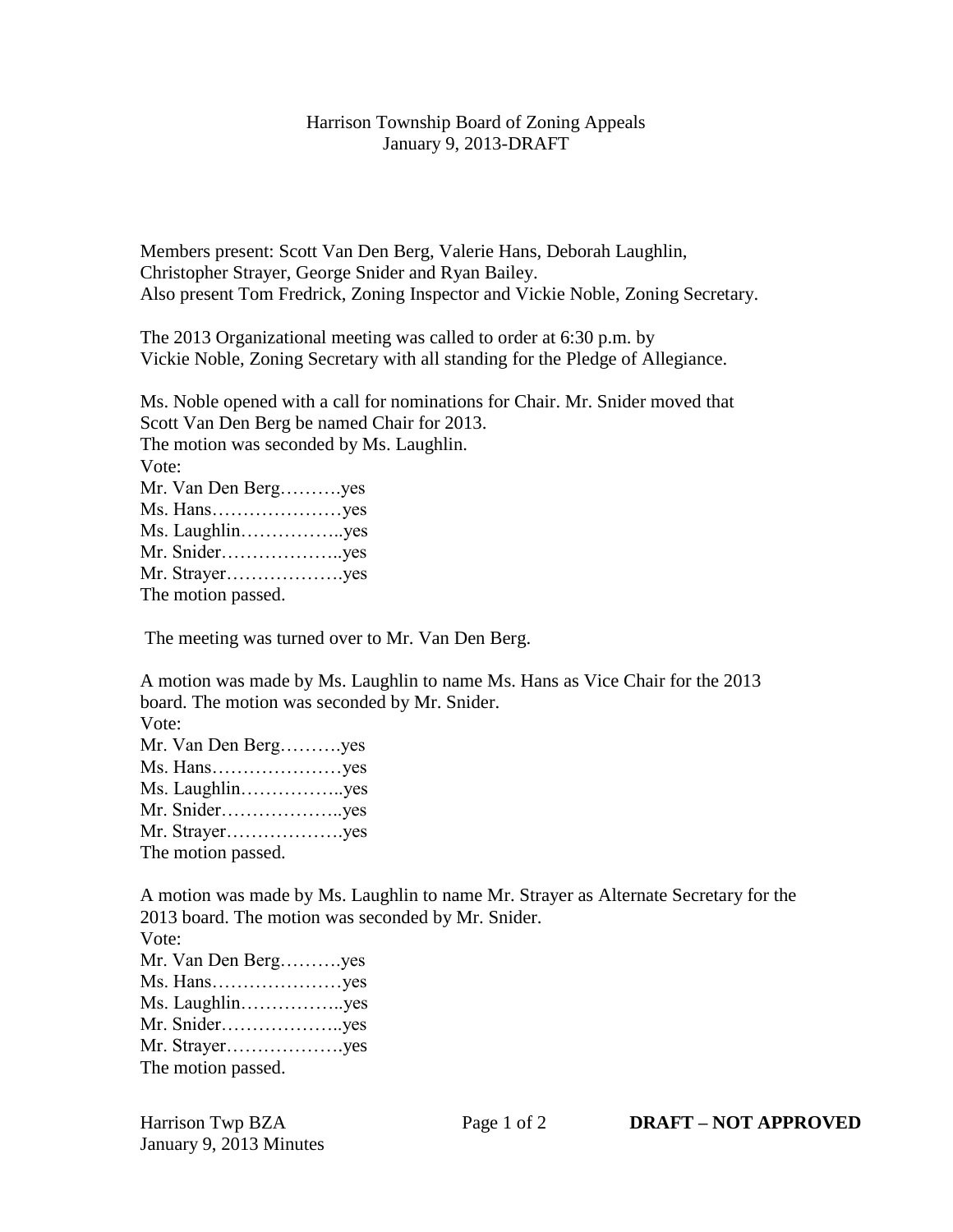## Harrison Township Board of Zoning Appeals January 9, 2013-DRAFT

Members present: Scott Van Den Berg, Valerie Hans, Deborah Laughlin, Christopher Strayer, George Snider and Ryan Bailey. Also present Tom Fredrick, Zoning Inspector and Vickie Noble, Zoning Secretary.

The 2013 Organizational meeting was called to order at 6:30 p.m. by Vickie Noble, Zoning Secretary with all standing for the Pledge of Allegiance.

Ms. Noble opened with a call for nominations for Chair. Mr. Snider moved that Scott Van Den Berg be named Chair for 2013. The motion was seconded by Ms. Laughlin. Vote: Mr. Van Den Berg……….yes Ms. Hans…………………yes Ms. Laughlin……………..yes Mr. Snider………………..yes Mr. Strayer……………….yes The motion passed.

The meeting was turned over to Mr. Van Den Berg.

A motion was made by Ms. Laughlin to name Ms. Hans as Vice Chair for the 2013 board. The motion was seconded by Mr. Snider. Vote:

| Mr. Van Den Bergyes |  |
|---------------------|--|
| Ms. Hansyes         |  |
| Ms. Laughlinyes     |  |
| Mr. Snideryes       |  |
| Mr. Strayeryes      |  |
| The motion passed.  |  |

A motion was made by Ms. Laughlin to name Mr. Strayer as Alternate Secretary for the 2013 board. The motion was seconded by Mr. Snider.

Vote: Mr. Van Den Berg……….yes Ms. Hans…………………yes Ms. Laughlin……………..yes Mr. Snider………………..yes Mr. Strayer……………….yes The motion passed.

January 9, 2013 Minutes

Harrison Twp BZA Page 1 of 2 **DRAFT – NOT APPROVED**